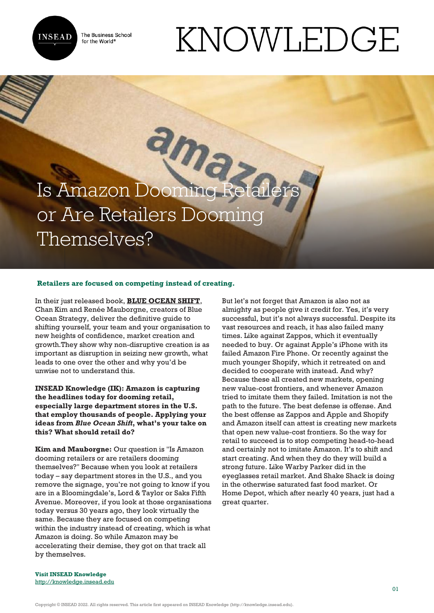

The Business School for the World<sup>®</sup>

# KNOWLEDGE

Is Amazon Dooming Retail or Are Retailers Dooming Themselves?

#### **Retailers are focused on competing instead of creating.**

In their just released book, **[BLUE OCEAN SHIFT](https://www.amazon.com/Blue-Ocean-Shift-Competing-Confidence/dp/0316314048/)**, Chan Kim and Renée Mauborgne, creators of Blue Ocean Strategy, deliver the definitive guide to shifting yourself, your team and your organisation to new heights of confidence, market creation and growth.They show why non-disruptive creation is as important as disruption in seizing new growth, what leads to one over the other and why you'd be unwise not to understand this.

**INSEAD Knowledge (IK): Amazon is capturing the headlines today for dooming retail, especially large department stores in the U.S. that employ thousands of people. Applying your ideas from** *Blue Ocean Shift***, what's your take on this? What should retail do?**

**Kim and Mauborgne:** Our question is "Is Amazon dooming retailers or are retailers dooming themselves?" Because when you look at retailers today – say department stores in the U.S., and you remove the signage, you're not going to know if you are in a Bloomingdale's, Lord & Taylor or Saks Fifth Avenue. Moreover, if you look at those organisations today versus 30 years ago, they look virtually the same. Because they are focused on competing within the industry instead of creating, which is what Amazon is doing. So while Amazon may be accelerating their demise, they got on that track all by themselves.

But let's not forget that Amazon is also not as almighty as people give it credit for. Yes, it's very successful, but it's not always successful. Despite its vast resources and reach, it has also failed many times. Like against Zappos, which it eventually needed to buy. Or against Apple's iPhone with its failed Amazon Fire Phone. Or recently against the much younger Shopify, which it retreated on and decided to cooperate with instead. And why? Because these all created new markets, opening new value-cost frontiers, and whenever Amazon tried to imitate them they failed. Imitation is not the path to the future. The best defense is offense. And the best offense as Zappos and Apple and Shopify and Amazon itself can attest is creating new markets that open new value-cost frontiers. So the way for retail to succeed is to stop competing head-to-head and certainly not to imitate Amazon. It's to shift and start creating. And when they do they will build a strong future. Like Warby Parker did in the eyeglasses retail market. And Shake Shack is doing in the otherwise saturated fast food market. Or Home Depot, which after nearly 40 years, just had a great quarter.

**Visit INSEAD Knowledge** http://knowledge.insead.edu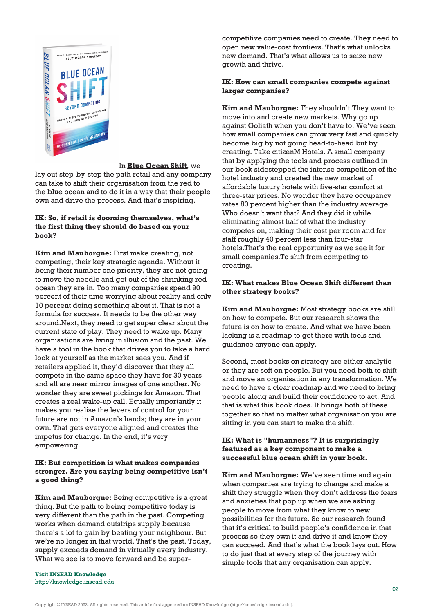

#### In **[Blue Ocean Shift](http://www.amazon.com/Blue-Ocean-Shift-Competing-Confidence/dp/0316314048/)**, we

lay out step-by-step the path retail and any company can take to shift their organisation from the red to the blue ocean and to do it in a way that their people own and drive the process. And that's inspiring.

#### **[IK: So, if retail is doom](http://knowledge.insead.edu)ing themselves, what's the first thing they should do based on your book?**

**Kim and Mauborgne:** First make creating, not competing, their key strategic agenda. Without it being their number one priority, they are not going to move the needle and get out of the shrinking red ocean they are in. Too many companies spend 90 percent of their time worrying about reality and only 10 percent doing something about it. That is not a formula for success. It needs to be the other way around.Next, they need to get super clear about the current state of play. They need to wake up. Many organisations are living in illusion and the past. We have a tool in the book that drives you to take a hard look at yourself as the market sees you. And if retailers applied it, they'd discover that they all compete in the same space they have for 30 years and all are near mirror images of one another. No wonder they are sweet pickings for Amazon. That creates a real wake-up call. Equally importantly it makes you realise the levers of control for your future are not in Amazon's hands; they are in your own. That gets everyone aligned and creates the impetus for change. In the end, it's very empowering.

## **IK: But competition is what makes companies stronger. Are you saying being competitive isn't a good thing?**

**Kim and Mauborgne:** Being competitive is a great thing. But the path to being competitive today is very different than the path in the past. Competing works when demand outstrips supply because there's a lot to gain by beating your neighbour. But we're no longer in that world. That's the past. Today, supply exceeds demand in virtually every industry. What we see is to move forward and be super-

**Visit INSEAD Knowledge** <http://knowledge.insead.edu>

competitive companies need to create. They need to open new value-cost frontiers. That's what unlocks new demand. That's what allows us to seize new growth and thrive.

# **IK: How can small companies compete against larger companies?**

**Kim and Mauborgne:** They shouldn't.They want to move into and create new markets. Why go up against Goliath when you don't have to. We've seen how small companies can grow very fast and quickly become big by not going head-to-head but by creating. Take citizenM Hotels. A small company that by applying the tools and process outlined in our book sidestepped the intense competition of the hotel industry and created the new market of affordable luxury hotels with five-star comfort at three-star prices. No wonder they have occupancy rates 80 percent higher than the industry average. Who doesn't want that? And they did it while eliminating almost half of what the industry competes on, making their cost per room and for staff roughly 40 percent less than four-star hotels.That's the real opportunity as we see it for small companies.To shift from competing to creating.

## **IK: What makes Blue Ocean Shift different than other strategy books?**

**Kim and Mauborgne:** Most strategy books are still on how to compete. But our research shows the future is on how to create. And what we have been lacking is a roadmap to get there with tools and guidance anyone can apply.

Second, most books on strategy are either analytic or they are soft on people. But you need both to shift and move an organisation in any transformation. We need to have a clear roadmap and we need to bring people along and build their confidence to act. And that is what this book does. It brings both of these together so that no matter what organisation you are sitting in you can start to make the shift.

#### **IK: What is "humanness"? It is surprisingly featured as a key component to make a successful blue ocean shift in your book.**

**Kim and Mauborgne:** We've seen time and again when companies are trying to change and make a shift they struggle when they don't address the fears and anxieties that pop up when we are asking people to move from what they know to new possibilities for the future. So our research found that it's critical to build people's confidence in that process so they own it and drive it and know they can succeed. And that's what the book lays out. How to do just that at every step of the journey with simple tools that any organisation can apply.

Copyright © INSEAD 2022. All rights reserved. This article first appeared on INSEAD Knowledge (http://knowledge.insead.edu).